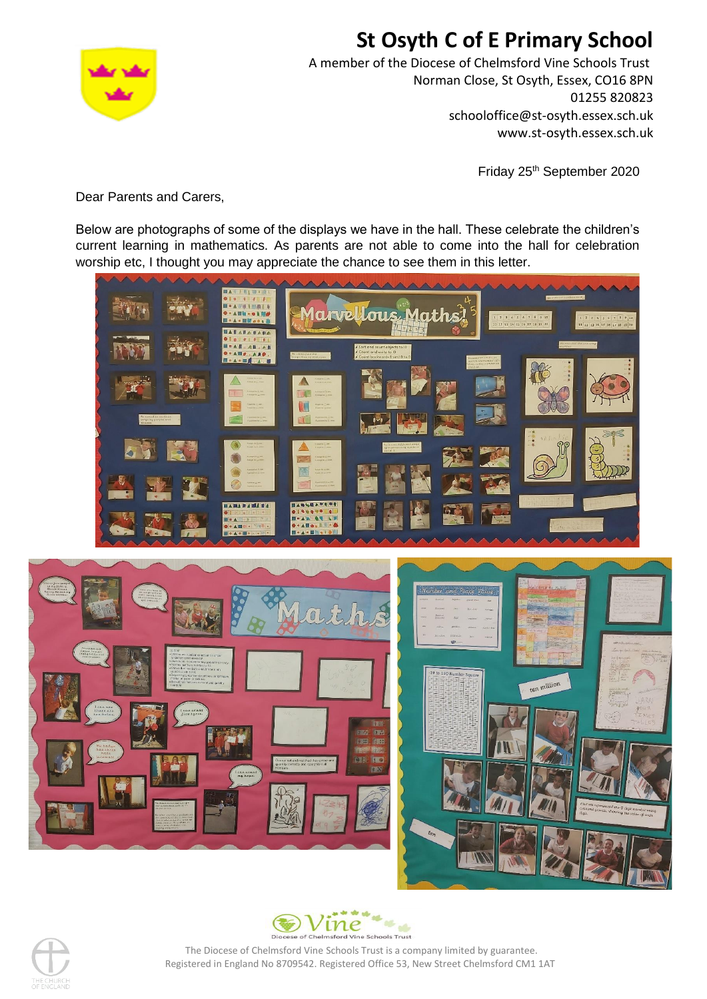

# **St Osyth C of E Primary School**

A member of the Diocese of Chelmsford Vine Schools Trust Norman Close, St Osyth, Essex, CO16 8PN 01255 820823 schooloffice@st-osyth.essex.sch.uk www.st-osyth.essex.sch.uk

Friday 25<sup>th</sup> September 2020

Dear Parents and Carers,

Below are photographs of some of the displays we have in the hall. These celebrate the children's current learning in mathematics. As parents are not able to come into the hall for celebration worship etc, I thought you may appreciate the chance to see them in this letter.







The Diocese of Chelmsford Vine Schools Trust is a company limited by guarantee. Registered in England No 8709542. Registered Office 53, New Street Chelmsford CM1 1AT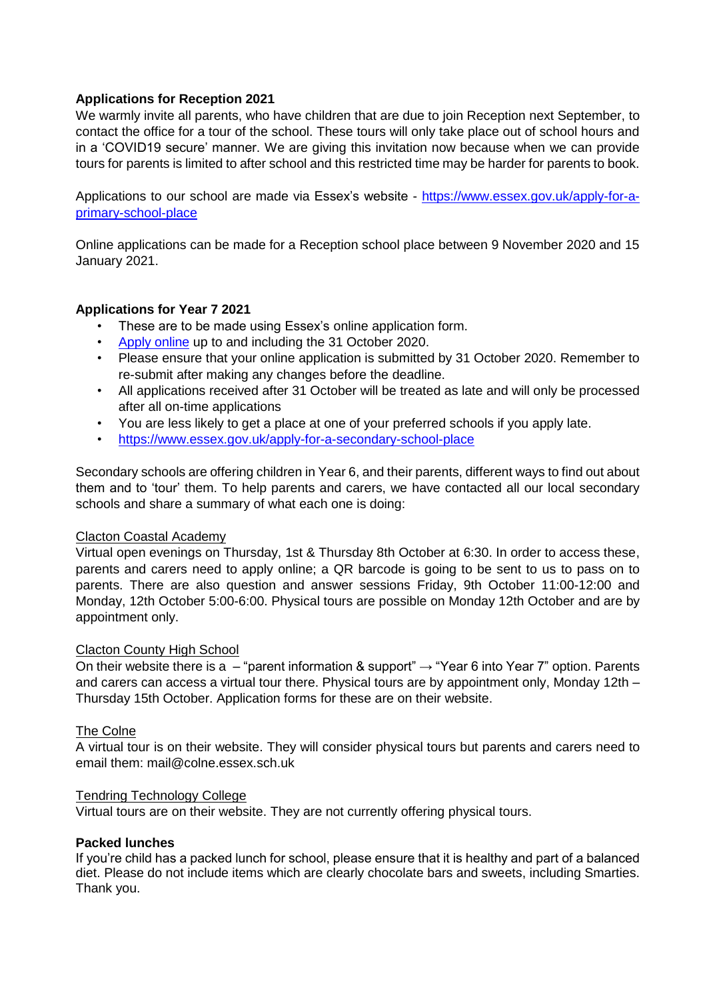# **Applications for Reception 2021**

We warmly invite all parents, who have children that are due to join Reception next September, to contact the office for a tour of the school. These tours will only take place out of school hours and in a 'COVID19 secure' manner. We are giving this invitation now because when we can provide tours for parents is limited to after school and this restricted time may be harder for parents to book.

Applications to our school are made via Essex's website - [https://www.essex.gov.uk/apply-for-a](https://www.essex.gov.uk/apply-for-a-primary-school-place)[primary-school-place](https://www.essex.gov.uk/apply-for-a-primary-school-place)

Online applications can be made for a Reception school place between 9 November 2020 and 15 January 2021.

# **Applications for Year 7 2021**

- These are to be made using Essex's online application form.
- [Apply online](https://educationportal.essex.gov.uk/CitizenPortal/en) up to and including the 31 October 2020.
- Please ensure that your online application is submitted by 31 October 2020. Remember to re-submit after making any changes before the deadline.
- All applications received after 31 October will be treated as late and will only be processed after all on-time applications
- You are less likely to get a place at one of your preferred schools if you apply late.
- <https://www.essex.gov.uk/apply-for-a-secondary-school-place>

Secondary schools are offering children in Year 6, and their parents, different ways to find out about them and to 'tour' them. To help parents and carers, we have contacted all our local secondary schools and share a summary of what each one is doing:

# Clacton Coastal Academy

Virtual open evenings on Thursday, 1st & Thursday 8th October at 6:30. In order to access these, parents and carers need to apply online; a QR barcode is going to be sent to us to pass on to parents. There are also question and answer sessions Friday, 9th October 11:00-12:00 and Monday, 12th October 5:00-6:00. Physical tours are possible on Monday 12th October and are by appointment only.

# Clacton County High School

On their website there is a – "parent information & support"  $\rightarrow$  "Year 6 into Year 7" option. Parents and carers can access a virtual tour there. Physical tours are by appointment only, Monday 12th – Thursday 15th October. Application forms for these are on their website.

# The Colne

A virtual tour is on their website. They will consider physical tours but parents and carers need to email them: mail@colne.essex.sch.uk

#### Tendring Technology College

Virtual tours are on their website. They are not currently offering physical tours.

# **Packed lunches**

If you're child has a packed lunch for school, please ensure that it is healthy and part of a balanced diet. Please do not include items which are clearly chocolate bars and sweets, including Smarties. Thank you.